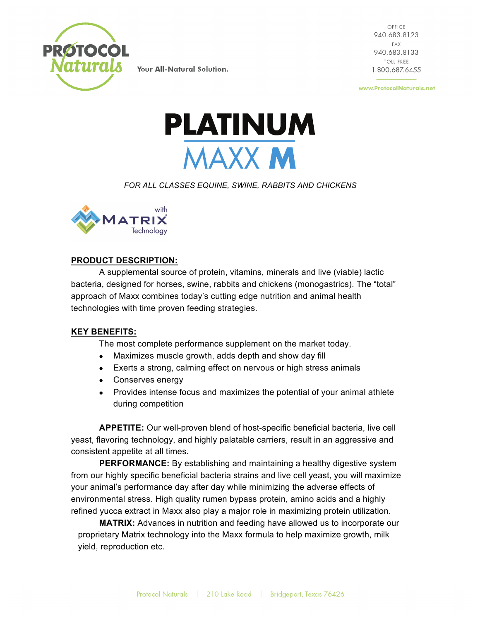

OFFICE 940.683.8123 FAX 940.683.8133 **TOLL FREE** 1.800.687.6455

www.ProtocolNaturals.net



*FOR ALL CLASSES EQUINE, SWINE, RABBITS AND CHICKENS*



## **PRODUCT DESCRIPTION:**

A supplemental source of protein, vitamins, minerals and live (viable) lactic bacteria, designed for horses, swine, rabbits and chickens (monogastrics). The "total" approach of Maxx combines today's cutting edge nutrition and animal health technologies with time proven feeding strategies.

# **KEY BENEFITS:**

The most complete performance supplement on the market today.

- Maximizes muscle growth, adds depth and show day fill
- Exerts a strong, calming effect on nervous or high stress animals
- Conserves energy
- Provides intense focus and maximizes the potential of your animal athlete during competition

**APPETITE:** Our well-proven blend of host-specific beneficial bacteria, live cell yeast, flavoring technology, and highly palatable carriers, result in an aggressive and consistent appetite at all times.

**PERFORMANCE:** By establishing and maintaining a healthy digestive system from our highly specific beneficial bacteria strains and live cell yeast, you will maximize your animal's performance day after day while minimizing the adverse effects of environmental stress. High quality rumen bypass protein, amino acids and a highly refined yucca extract in Maxx also play a major role in maximizing protein utilization.

**MATRIX:** Advances in nutrition and feeding have allowed us to incorporate our proprietary Matrix technology into the Maxx formula to help maximize growth, milk yield, reproduction etc.